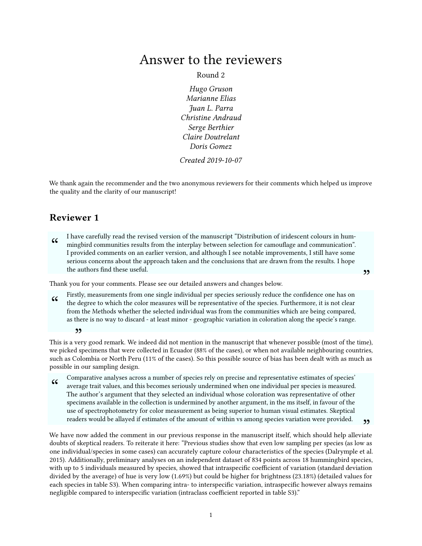## Answer to the reviewers

Round 2

Hugo Gruson Marianne Elias Juan L. Parra Christine Andraud Serge Berthier Claire Doutrelant Doris Gomez

Created 2019-10-07

We thank again the recommender and the two anonymous reviewers for their comments which helped us improve the quality and the clarity of our manuscript!

## Reviewer 1

 $cc$ I have carefully read the revised version of the manuscript "Distribution of iridescent colours in hummingbird communities results from the interplay between selection for camouflage and communication". I provided comments on an earlier version, and although I see notable improvements, I still have some serious concerns about the approach taken and the conclusions that are drawn from the results. I hope the authors find these useful.

 $"$ 

Thank you for your comments. Please see our detailed answers and changes below.

 $cc$ Firstly, measurements from one single individual per species seriously reduce the confidence one has on the degree to which the color measures will be representative of the species. Furthermore, it is not clear from the Methods whether the selected individual was from the communities which are being compared, as there is no way to discard - at least minor - geographic variation in coloration along the specie's range.

This is a very good remark. We indeed did not mention in the manuscript that whenever possible (most of the time), " we picked specimens that were collected in Ecuador (88% of the cases), or when not available neighbouring countries, such as Colombia or North Peru (11% of the cases). So this possible source of bias has been dealt with as much as possible in our sampling design.

 $cc$ Comparative analyses across a number of species rely on precise and representative estimates of species' average trait values, and this becomes seriously undermined when one individual per species is measured. The author's argument that they selected an individual whose coloration was representative of other specimens available in the collection is undermined by another argument, in the ms itself, in favour of the use of spectrophotometry for color measurement as being superior to human visual estimates. Skeptical readers would be allayed if estimates of the amount of within vs among species variation were provided.

<sup>99</sup> readers would be allayed if estimates of the amount of within vs among species variation were provided.<br>We have now added the comment in our previous response in the manuscript itself, which should help alleviate doubts of skeptical readers. To reiterate it here: "Previous studies show that even low sampling per species (as low as one individual/species in some cases) can accurately capture colour characteristics of the species (Dalrymple et al. 2015). Additionally, preliminary analyses on an independent dataset of 834 points across 18 hummingbird species, with up to 5 individuals measured by species, showed that intraspecific coefficient of variation (standard deviation divided by the average) of hue is very low (1.69%) but could be higher for brightness (23.18%) (detailed values for each species in table S3). When comparing intra- to interspecific variation, intraspecific however always remains negligible compared to interspecific variation (intraclass coefficient reported in table S3)."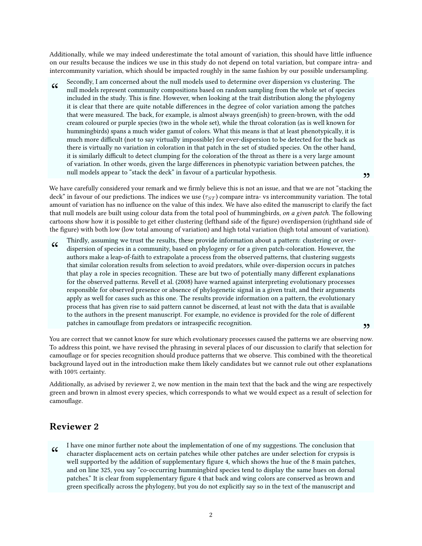Additionally, while we may indeed underestimate the total amount of variation, this should have little influence on our results because the indices we use in this study do not depend on total variation, but compare intra- and intercommunity variation, which should be impacted roughly in the same fashion by our possible undersampling.

 $cc$ Secondly, I am concerned about the null models used to determine over dispersion vs clustering. The null models represent community compositions based on random sampling from the whole set of species included in the study. This is fine. However, when looking at the trait distribution along the phylogeny it is clear that there are quite notable differences in the degree of color variation among the patches that were measured. The back, for example, is almost always green(ish) to green-brown, with the odd cream coloured or purple species (two in the whole set), while the throat coloration (as is well known for hummingbirds) spans a much wider gamut of colors. What this means is that at least phenotypically, it is much more difficult (not to say virtually impossible) for over-dispersion to be detected for the back as there is virtually no variation in coloration in that patch in the set of studied species. On the other hand, it is similarly difficult to detect clumping for the coloration of the throat as there is a very large amount of variation. In other words, given the large differences in phenotypic variation between patches, the null models appear to "stack the deck" in favour of a particular hypothesis.

<sup>99</sup> hun models appear to stack the deck in lavour of a particular hypothesis.<br>We have carefully considered your remark and we firmly believe this is not an issue, and that we are not "stacking the deck" in favour of our predictions. The indices we use (*τST* ) compare intra- vs intercommunity variation. The total amount of variation has no influence on the value of this index. We have also edited the manuscript to clarify the fact that null models are built using colour data from the total pool of hummingbirds, on a given patch. The following cartoons show how it is possible to get either clustering (lefthand side of the gure) overdispersion (righthand side of the figure) with both low (low total amoung of variation) and high total variation (high total amount of variation).

 $\zeta\zeta$ Thirdly, assuming we trust the results, these provide information about a pattern: clustering or overdispersion of species in a community, based on phylogeny or for a given patch-coloration. However, the authors make a leap-of-faith to extrapolate a process from the observed patterns, that clustering suggests that similar coloration results from selection to avoid predators, while over-dispersion occurs in patches that play a role in species recognition. These are but two of potentially many different explanations for the observed patterns. Revell et al. (2008) have warned against interpreting evolutionary processes responsible for observed presence or absence of phylogenetic signal in a given trait, and their arguments apply as well for cases such as this one. The results provide information on a pattern, the evolutionary process that has given rise to said pattern cannot be discerned, at least not with the data that is available to the authors in the present manuscript. For example, no evidence is provided for the role of different patches in camouflage from predators or intraspecific recognition.

You are correct that we cannot know for sure which evolutionary processes caused the patterns we are observing now. " To address this point, we have revised the phrasing in several places of our discussion to clarify that selection for camouflage or for species recognition should produce patterns that we observe. This combined with the theoretical background layed out in the introduction make them likely candidates but we cannot rule out other explanations with 100% certainty.

Additionally, as advised by reviewer 2, we now mention in the main text that the back and the wing are respectively green and brown in almost every species, which corresponds to what we would expect as a result of selection for camouflage.

## Reviewer 2

 $cc$ I have one minor further note about the implementation of one of my suggestions. The conclusion that character displacement acts on certain patches while other patches are under selection for crypsis is well supported by the addition of supplementary figure 4, which shows the hue of the 8 main patches, and on line 325, you say "co-occurring hummingbird species tend to display the same hues on dorsal patches." It is clear from supplementary figure 4 that back and wing colors are conserved as brown and green specifically across the phylogeny, but you do not explicitly say so in the text of the manuscript and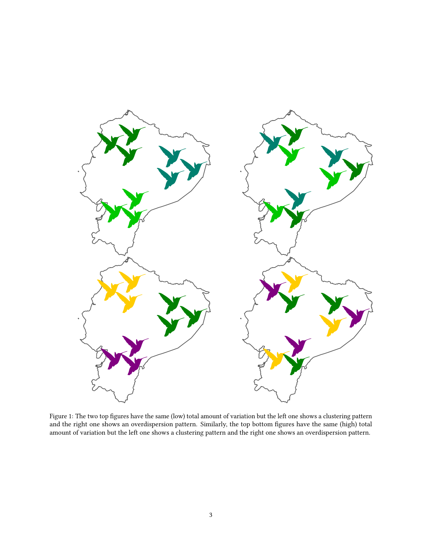

Figure 1: The two top figures have the same (low) total amount of variation but the left one shows a clustering pattern and the right one shows an overdispersion pattern. Similarly, the top bottom figures have the same (high) total amount of variation but the left one shows a clustering pattern and the right one shows an overdispersion pattern.